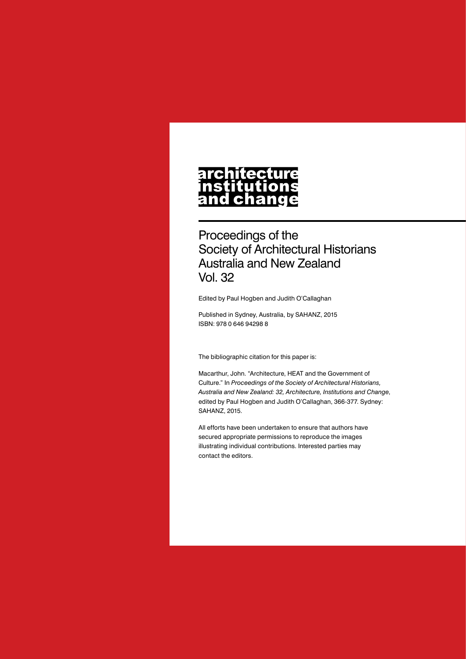## architecture nomescare<br>nstitutions<br>and change

Proceedings of the Society of Architectural Historians Australia and New Zealand Vol. 32

Edited by Paul Hogben and Judith O'Callaghan

Published in Sydney, Australia, by SAHANZ, 2015 ISBN: 978 0 646 94298 8

The bibliographic citation for this paper is:

Macarthur, John. "Architecture, HEAT and the Government of Culture." In *Proceedings of the Society of Architectural Historians, Australia and New Zealand: 32, Architecture, Institutions and Change*, edited by Paul Hogben and Judith O'Callaghan, 366-377. Sydney: SAHANZ, 2015.

All efforts have been undertaken to ensure that authors have secured appropriate permissions to reproduce the images illustrating individual contributions. Interested parties may contact the editors.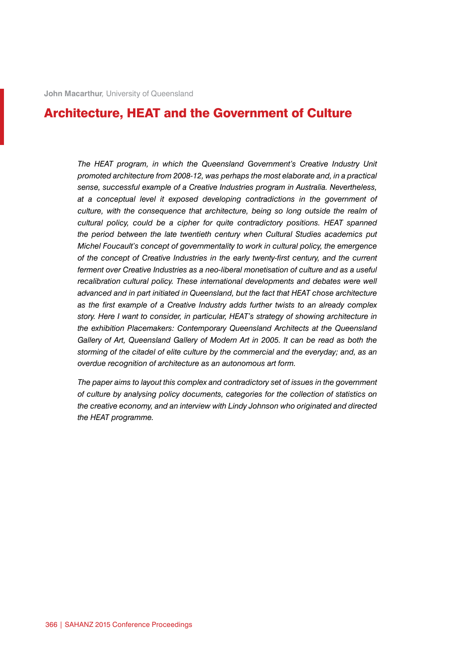## Architecture, HEAT and the Government of Culture

The HEAT program, in which the Queensland Government's Creative Industry Unit *promoted architecture from 2008-12, was perhaps the most elaborate and, in a practical sense, successful example of a Creative Industries program in Australia. Nevertheless, at a conceptual level it exposed developing contradictions in the government of culture, with the consequence that architecture, being so long outside the realm of cultural policy, could be a cipher for quite contradictory positions. HEAT spanned the period between the late twentieth century when Cultural Studies academics put Michel Foucault's concept of governmentality to work in cultural policy, the emergence of the concept of Creative Industries in the early twenty-first century, and the current ferment over Creative Industries as a neo-liberal monetisation of culture and as a useful recalibration cultural policy. These international developments and debates were well advanced and in part initiated in Queensland, but the fact that HEAT chose architecture as the first example of a Creative Industry adds further twists to an already complex story. Here I want to consider, in particular, HEAT's strategy of showing architecture in the exhibition Placemakers: Contemporary Queensland Architects at the Queensland Gallery of Art, Queensland Gallery of Modern Art in 2005. It can be read as both the storming of the citadel of elite culture by the commercial and the everyday; and, as an overdue recognition of architecture as an autonomous art form.*

*The paper aims to layout this complex and contradictory set of issues in the government of culture by analysing policy documents, categories for the collection of statistics on the creative economy, and an interview with Lindy Johnson who originated and directed the HEAT programme.*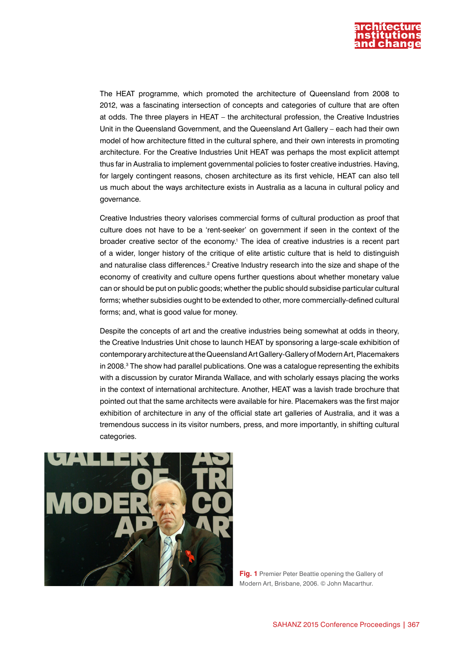

The HEAT programme, which promoted the architecture of Queensland from 2008 to 2012, was a fascinating intersection of concepts and categories of culture that are often at odds. The three players in HEAT – the architectural profession, the Creative Industries Unit in the Queensland Government, and the Queensland Art Gallery – each had their own model of how architecture fitted in the cultural sphere, and their own interests in promoting architecture. For the Creative Industries Unit HEAT was perhaps the most explicit attempt thus far in Australia to implement governmental policies to foster creative industries. Having, for largely contingent reasons, chosen architecture as its first vehicle, HEAT can also tell us much about the ways architecture exists in Australia as a lacuna in cultural policy and governance.

Creative Industries theory valorises commercial forms of cultural production as proof that culture does not have to be a 'rent-seeker' on government if seen in the context of the broader creative sector of the economy.1 The idea of creative industries is a recent part of a wider, longer history of the critique of elite artistic culture that is held to distinguish and naturalise class differences.<sup>2</sup> Creative Industry research into the size and shape of the economy of creativity and culture opens further questions about whether monetary value can or should be put on public goods; whether the public should subsidise particular cultural forms; whether subsidies ought to be extended to other, more commercially-defined cultural forms; and, what is good value for money.

Despite the concepts of art and the creative industries being somewhat at odds in theory, the Creative Industries Unit chose to launch HEAT by sponsoring a large-scale exhibition of contemporary architecture at the Queensland Art Gallery-Gallery of Modern Art, Placemakers in 2008.<sup>3</sup> The show had parallel publications. One was a catalogue representing the exhibits with a discussion by curator Miranda Wallace, and with scholarly essays placing the works in the context of international architecture. Another, HEAT was a lavish trade brochure that pointed out that the same architects were available for hire. Placemakers was the first major exhibition of architecture in any of the official state art galleries of Australia, and it was a tremendous success in its visitor numbers, press, and more importantly, in shifting cultural categories.



**Fig. 1** Premier Peter Beattie opening the Gallery of Modern Art, Brisbane, 2006. © John Macarthur.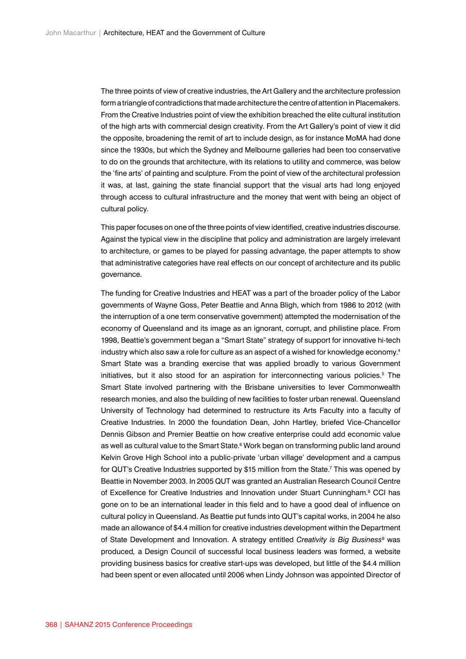The three points of view of creative industries, the Art Gallery and the architecture profession form a triangle of contradictions that made architecture the centre of attention in Placemakers. From the Creative Industries point of view the exhibition breached the elite cultural institution of the high arts with commercial design creativity. From the Art Gallery's point of view it did the opposite, broadening the remit of art to include design, as for instance MoMA had done since the 1930s, but which the Sydney and Melbourne galleries had been too conservative to do on the grounds that architecture, with its relations to utility and commerce, was below the 'fine arts' of painting and sculpture. From the point of view of the architectural profession it was, at last, gaining the state financial support that the visual arts had long enjoyed through access to cultural infrastructure and the money that went with being an object of cultural policy.

This paper focuses on one of the three points of view identified, creative industries discourse. Against the typical view in the discipline that policy and administration are largely irrelevant to architecture, or games to be played for passing advantage, the paper attempts to show that administrative categories have real effects on our concept of architecture and its public governance.

The funding for Creative Industries and HEAT was a part of the broader policy of the Labor governments of Wayne Goss, Peter Beattie and Anna Bligh, which from 1986 to 2012 (with the interruption of a one term conservative government) attempted the modernisation of the economy of Queensland and its image as an ignorant, corrupt, and philistine place. From 1998, Beattie's government began a "Smart State" strategy of support for innovative hi-tech industry which also saw a role for culture as an aspect of a wished for knowledge economy.4 Smart State was a branding exercise that was applied broadly to various Government initiatives, but it also stood for an aspiration for interconnecting various policies.<sup>5</sup> The Smart State involved partnering with the Brisbane universities to lever Commonwealth research monies, and also the building of new facilities to foster urban renewal. Queensland University of Technology had determined to restructure its Arts Faculty into a faculty of Creative Industries. In 2000 the foundation Dean, John Hartley, briefed Vice-Chancellor Dennis Gibson and Premier Beattie on how creative enterprise could add economic value as well as cultural value to the Smart State.<sup>6</sup> Work began on transforming public land around Kelvin Grove High School into a public-private 'urban village' development and a campus for QUT's Creative Industries supported by \$15 million from the State.7 This was opened by Beattie in November 2003. In 2005 QUT was granted an Australian Research Council Centre of Excellence for Creative Industries and Innovation under Stuart Cunningham.<sup>8</sup> CCI has gone on to be an international leader in this field and to have a good deal of influence on cultural policy in Queensland. As Beattie put funds into QUT's capital works, in 2004 he also made an allowance of \$4.4 million for creative industries development within the Department of State Development and Innovation. A strategy entitled *Creativity is Big Business*<sup>9</sup> was produced*,* a Design Council of successful local business leaders was formed, a website providing business basics for creative start-ups was developed, but little of the \$4.4 million had been spent or even allocated until 2006 when Lindy Johnson was appointed Director of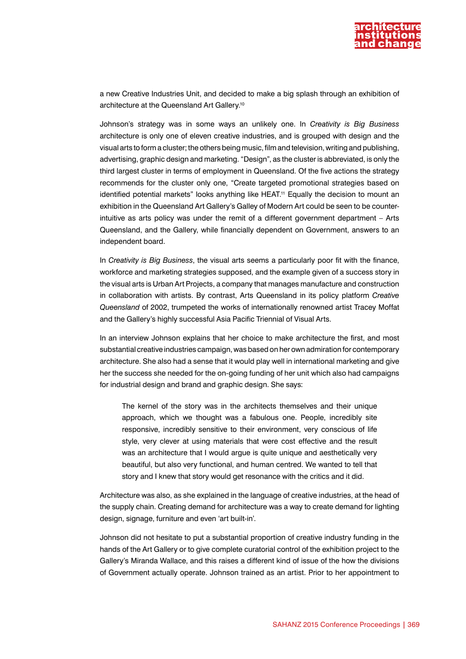

a new Creative Industries Unit, and decided to make a big splash through an exhibition of architecture at the Queensland Art Gallery.10

Johnson's strategy was in some ways an unlikely one. In *Creativity is Big Business* architecture is only one of eleven creative industries, and is grouped with design and the visual arts to form a cluster; the others being music, film and television, writing and publishing, advertising, graphic design and marketing. "Design", as the cluster is abbreviated, is only the third largest cluster in terms of employment in Queensland. Of the five actions the strategy recommends for the cluster only one, "Create targeted promotional strategies based on identified potential markets" looks anything like HEAT.<sup>11</sup> Equally the decision to mount an exhibition in the Queensland Art Gallery's Galley of Modern Art could be seen to be counterintuitive as arts policy was under the remit of a different government department – Arts Queensland, and the Gallery, while financially dependent on Government, answers to an independent board.

In *Creativity is Big Business*, the visual arts seems a particularly poor fit with the finance, workforce and marketing strategies supposed, and the example given of a success story in the visual arts is Urban Art Projects, a company that manages manufacture and construction in collaboration with artists. By contrast, Arts Queensland in its policy platform *Creative Queensland* of 2002, trumpeted the works of internationally renowned artist Tracey Moffat and the Gallery's highly successful Asia Pacific Triennial of Visual Arts.

In an interview Johnson explains that her choice to make architecture the first, and most substantial creative industries campaign, was based on her own admiration for contemporary architecture. She also had a sense that it would play well in international marketing and give her the success she needed for the on-going funding of her unit which also had campaigns for industrial design and brand and graphic design. She says:

The kernel of the story was in the architects themselves and their unique approach, which we thought was a fabulous one. People, incredibly site responsive, incredibly sensitive to their environment, very conscious of life style, very clever at using materials that were cost effective and the result was an architecture that I would argue is quite unique and aesthetically very beautiful, but also very functional, and human centred. We wanted to tell that story and I knew that story would get resonance with the critics and it did.

Architecture was also, as she explained in the language of creative industries, at the head of the supply chain. Creating demand for architecture was a way to create demand for lighting design, signage, furniture and even 'art built-in'.

Johnson did not hesitate to put a substantial proportion of creative industry funding in the hands of the Art Gallery or to give complete curatorial control of the exhibition project to the Gallery's Miranda Wallace, and this raises a different kind of issue of the how the divisions of Government actually operate. Johnson trained as an artist. Prior to her appointment to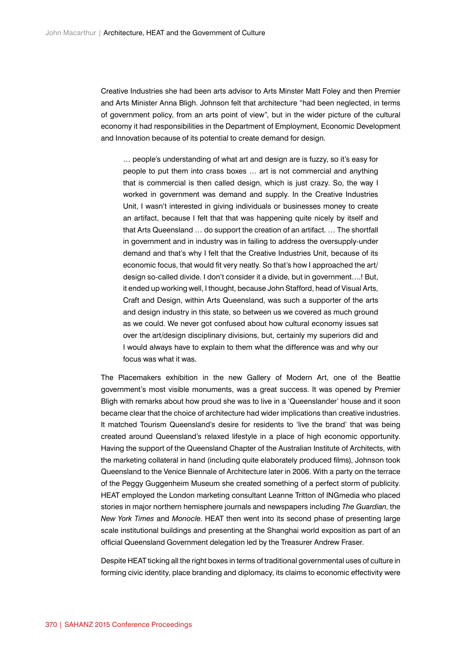Creative Industries she had been arts advisor to Arts Minster Matt Foley and then Premier and Arts Minister Anna Bligh. Johnson felt that architecture "had been neglected, in terms of government policy, from an arts point of view", but in the wider picture of the cultural economy it had responsibilities in the Department of Employment, Economic Development and Innovation because of its potential to create demand for design.

… people's understanding of what art and design are is fuzzy, so it's easy for people to put them into crass boxes … art is not commercial and anything that is commercial is then called design, which is just crazy. So, the way I worked in government was demand and supply. In the Creative Industries Unit, I wasn't interested in giving individuals or businesses money to create an artifact, because I felt that that was happening quite nicely by itself and that Arts Queensland … do support the creation of an artifact. … The shortfall in government and in industry was in failing to address the oversupply-under demand and that's why I felt that the Creative Industries Unit, because of its economic focus, that would fit very neatly. So that's how I approached the art/ design so-called divide. I don't consider it a divide, but in government….! But, it ended up working well, I thought, because John Stafford, head of Visual Arts, Craft and Design, within Arts Queensland, was such a supporter of the arts and design industry in this state, so between us we covered as much ground as we could. We never got confused about how cultural economy issues sat over the art/design disciplinary divisions, but, certainly my superiors did and I would always have to explain to them what the difference was and why our focus was what it was.

The Placemakers exhibition in the new Gallery of Modern Art, one of the Beattie government's most visible monuments, was a great success. It was opened by Premier Bligh with remarks about how proud she was to live in a 'Queenslander' house and it soon became clear that the choice of architecture had wider implications than creative industries. It matched Tourism Queensland's desire for residents to 'live the brand' that was being created around Queensland's relaxed lifestyle in a place of high economic opportunity. Having the support of the Queensland Chapter of the Australian Institute of Architects, with the marketing collateral in hand (including quite elaborately produced films), Johnson took Queensland to the Venice Biennale of Architecture later in 2006. With a party on the terrace of the Peggy Guggenheim Museum she created something of a perfect storm of publicity. HEAT employed the London marketing consultant Leanne Tritton of INGmedia who placed stories in major northern hemisphere journals and newspapers including *The Guardian*, the *New York Times* and *Monocle*. HEAT then went into its second phase of presenting large scale institutional buildings and presenting at the Shanghai world exposition as part of an official Queensland Government delegation led by the Treasurer Andrew Fraser.

Despite HEAT ticking all the right boxes in terms of traditional governmental uses of culture in forming civic identity, place branding and diplomacy, its claims to economic effectivity were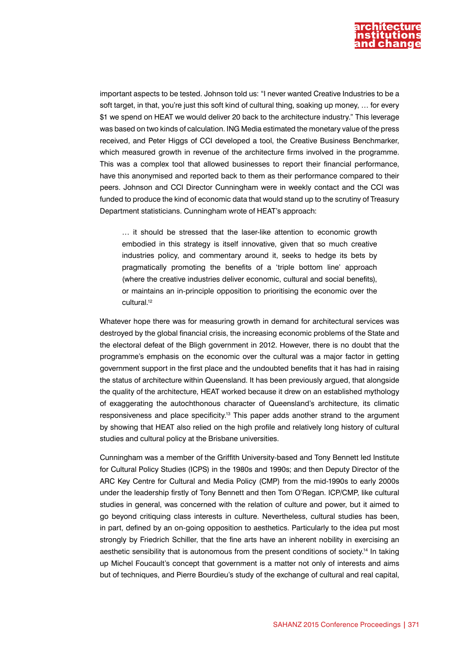

important aspects to be tested. Johnson told us: "I never wanted Creative Industries to be a soft target, in that, you're just this soft kind of cultural thing, soaking up money, ... for every \$1 we spend on HEAT we would deliver 20 back to the architecture industry." This leverage was based on two kinds of calculation. ING Media estimated the monetary value of the press received, and Peter Higgs of CCI developed a tool, the Creative Business Benchmarker, which measured growth in revenue of the architecture firms involved in the programme. This was a complex tool that allowed businesses to report their financial performance, have this anonymised and reported back to them as their performance compared to their peers. Johnson and CCI Director Cunningham were in weekly contact and the CCI was funded to produce the kind of economic data that would stand up to the scrutiny of Treasury Department statisticians. Cunningham wrote of HEAT's approach:

… it should be stressed that the laser-like attention to economic growth embodied in this strategy is itself innovative, given that so much creative industries policy, and commentary around it, seeks to hedge its bets by pragmatically promoting the benefits of a 'triple bottom line' approach (where the creative industries deliver economic, cultural and social benefits), or maintains an in-principle opposition to prioritising the economic over the cultural.<sup>12</sup>

Whatever hope there was for measuring growth in demand for architectural services was destroyed by the global financial crisis, the increasing economic problems of the State and the electoral defeat of the Bligh government in 2012. However, there is no doubt that the programme's emphasis on the economic over the cultural was a major factor in getting government support in the first place and the undoubted benefits that it has had in raising the status of architecture within Queensland. It has been previously argued, that alongside the quality of the architecture, HEAT worked because it drew on an established mythology of exaggerating the autochthonous character of Queensland's architecture, its climatic responsiveness and place specificity.<sup>13</sup> This paper adds another strand to the argument by showing that HEAT also relied on the high profile and relatively long history of cultural studies and cultural policy at the Brisbane universities.

Cunningham was a member of the Griffith University-based and Tony Bennett led Institute for Cultural Policy Studies (ICPS) in the 1980s and 1990s; and then Deputy Director of the ARC Key Centre for Cultural and Media Policy (CMP) from the mid-1990s to early 2000s under the leadership firstly of Tony Bennett and then Tom O'Regan. ICP/CMP, like cultural studies in general, was concerned with the relation of culture and power, but it aimed to go beyond critiquing class interests in culture. Nevertheless, cultural studies has been, in part, defined by an on-going opposition to aesthetics. Particularly to the idea put most strongly by Friedrich Schiller, that the fine arts have an inherent nobility in exercising an aesthetic sensibility that is autonomous from the present conditions of society.14 In taking up Michel Foucault's concept that government is a matter not only of interests and aims but of techniques, and Pierre Bourdieu's study of the exchange of cultural and real capital,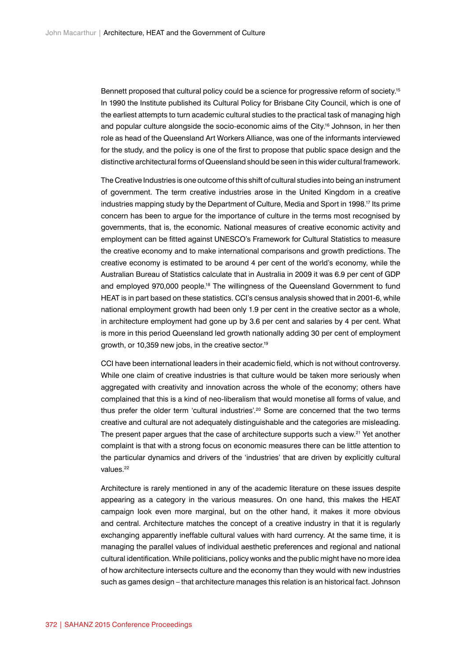Bennett proposed that cultural policy could be a science for progressive reform of society.<sup>15</sup> In 1990 the Institute published its Cultural Policy for Brisbane City Council, which is one of the earliest attempts to turn academic cultural studies to the practical task of managing high and popular culture alongside the socio-economic aims of the City.<sup>16</sup> Johnson, in her then role as head of the Queensland Art Workers Alliance, was one of the informants interviewed for the study, and the policy is one of the first to propose that public space design and the distinctive architectural forms of Queensland should be seen in this wider cultural framework.

The Creative Industries is one outcome of this shift of cultural studies into being an instrument of government. The term creative industries arose in the United Kingdom in a creative industries mapping study by the Department of Culture, Media and Sport in 1998.17 Its prime concern has been to argue for the importance of culture in the terms most recognised by governments, that is, the economic. National measures of creative economic activity and employment can be fitted against UNESCO's Framework for Cultural Statistics to measure the creative economy and to make international comparisons and growth predictions. The creative economy is estimated to be around 4 per cent of the world's economy, while the Australian Bureau of Statistics calculate that in Australia in 2009 it was 6.9 per cent of GDP and employed 970,000 people.<sup>18</sup> The willingness of the Queensland Government to fund HEAT is in part based on these statistics. CCI's census analysis showed that in 2001-6, while national employment growth had been only 1.9 per cent in the creative sector as a whole, in architecture employment had gone up by 3.6 per cent and salaries by 4 per cent. What is more in this period Queensland led growth nationally adding 30 per cent of employment growth, or 10,359 new jobs, in the creative sector.19

CCI have been international leaders in their academic field, which is not without controversy. While one claim of creative industries is that culture would be taken more seriously when aggregated with creativity and innovation across the whole of the economy; others have complained that this is a kind of neo-liberalism that would monetise all forms of value, and thus prefer the older term 'cultural industries'.<sup>20</sup> Some are concerned that the two terms creative and cultural are not adequately distinguishable and the categories are misleading. The present paper argues that the case of architecture supports such a view.<sup>21</sup> Yet another complaint is that with a strong focus on economic measures there can be little attention to the particular dynamics and drivers of the 'industries' that are driven by explicitly cultural values<sup>22</sup>

Architecture is rarely mentioned in any of the academic literature on these issues despite appearing as a category in the various measures. On one hand, this makes the HEAT campaign look even more marginal, but on the other hand, it makes it more obvious and central. Architecture matches the concept of a creative industry in that it is regularly exchanging apparently ineffable cultural values with hard currency. At the same time, it is managing the parallel values of individual aesthetic preferences and regional and national cultural identification. While politicians, policy wonks and the public might have no more idea of how architecture intersects culture and the economy than they would with new industries such as games design – that architecture manages this relation is an historical fact. Johnson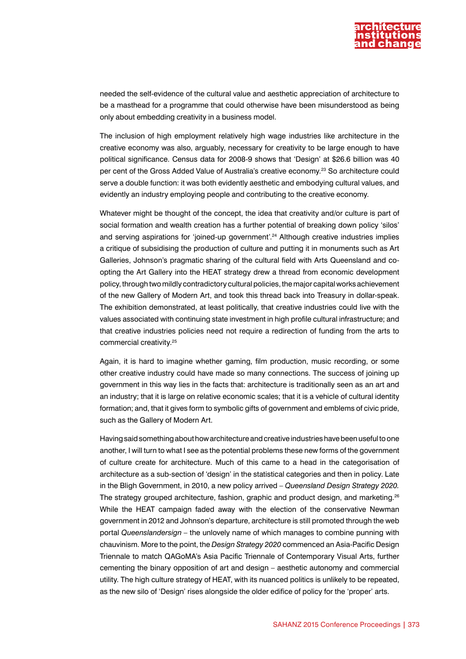

needed the self-evidence of the cultural value and aesthetic appreciation of architecture to be a masthead for a programme that could otherwise have been misunderstood as being only about embedding creativity in a business model.

The inclusion of high employment relatively high wage industries like architecture in the creative economy was also, arguably, necessary for creativity to be large enough to have political significance. Census data for 2008-9 shows that 'Design' at \$26.6 billion was 40 per cent of the Gross Added Value of Australia's creative economy.23 So architecture could serve a double function: it was both evidently aesthetic and embodying cultural values, and evidently an industry employing people and contributing to the creative economy.

Whatever might be thought of the concept, the idea that creativity and/or culture is part of social formation and wealth creation has a further potential of breaking down policy 'silos' and serving aspirations for 'joined-up government'.24 Although creative industries implies a critique of subsidising the production of culture and putting it in monuments such as Art Galleries, Johnson's pragmatic sharing of the cultural field with Arts Queensland and coopting the Art Gallery into the HEAT strategy drew a thread from economic development policy, through two mildly contradictory cultural policies, the major capital works achievement of the new Gallery of Modern Art, and took this thread back into Treasury in dollar-speak. The exhibition demonstrated, at least politically, that creative industries could live with the values associated with continuing state investment in high profile cultural infrastructure; and that creative industries policies need not require a redirection of funding from the arts to commercial creativity.25

Again, it is hard to imagine whether gaming, film production, music recording, or some other creative industry could have made so many connections. The success of joining up government in this way lies in the facts that: architecture is traditionally seen as an art and an industry; that it is large on relative economic scales; that it is a vehicle of cultural identity formation; and, that it gives form to symbolic gifts of government and emblems of civic pride, such as the Gallery of Modern Art.

Having said something about how architecture and creative industries have been useful to one another, I will turn to what I see as the potential problems these new forms of the government of culture create for architecture. Much of this came to a head in the categorisation of architecture as a sub-section of 'design' in the statistical categories and then in policy. Late in the Bligh Government, in 2010, a new policy arrived – *Queensland Design Strategy 2020.* The strategy grouped architecture, fashion, graphic and product design, and marketing.<sup>26</sup> While the HEAT campaign faded away with the election of the conservative Newman government in 2012 and Johnson's departure, architecture is still promoted through the web portal *Queenslandersign –* the unlovely name of which manages to combine punning with chauvinism. More to the point, the *Design Strategy 2020* commenced an Asia-Pacific Design Triennale to match QAGoMA's Asia Pacific Triennale of Contemporary Visual Arts, further cementing the binary opposition of art and design – aesthetic autonomy and commercial utility. The high culture strategy of HEAT, with its nuanced politics is unlikely to be repeated, as the new silo of 'Design' rises alongside the older edifice of policy for the 'proper' arts.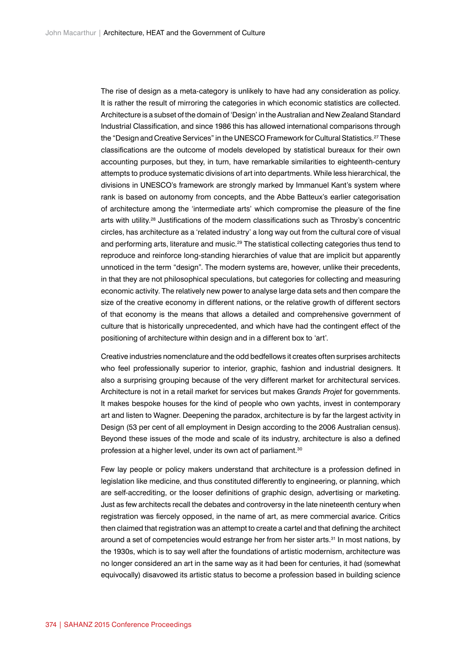The rise of design as a meta-category is unlikely to have had any consideration as policy. It is rather the result of mirroring the categories in which economic statistics are collected. Architecture is a subset of the domain of 'Design' in the Australian and New Zealand Standard Industrial Classification, and since 1986 this has allowed international comparisons through the "Design and Creative Services" in the UNESCO Framework for Cultural Statistics.<sup>27</sup> These classifications are the outcome of models developed by statistical bureaux for their own accounting purposes, but they, in turn, have remarkable similarities to eighteenth-century attempts to produce systematic divisions of art into departments. While less hierarchical, the divisions in UNESCO's framework are strongly marked by Immanuel Kant's system where rank is based on autonomy from concepts, and the Abbe Batteux's earlier categorisation of architecture among the 'intermediate arts' which compromise the pleasure of the fine arts with utility.<sup>28</sup> Justifications of the modern classifications such as Throsby's concentric circles, has architecture as a 'related industry' a long way out from the cultural core of visual and performing arts, literature and music.<sup>29</sup> The statistical collecting categories thus tend to reproduce and reinforce long-standing hierarchies of value that are implicit but apparently unnoticed in the term "design". The modern systems are, however, unlike their precedents, in that they are not philosophical speculations, but categories for collecting and measuring economic activity. The relatively new power to analyse large data sets and then compare the size of the creative economy in different nations, or the relative growth of different sectors of that economy is the means that allows a detailed and comprehensive government of culture that is historically unprecedented, and which have had the contingent effect of the positioning of architecture within design and in a different box to 'art'.

Creative industries nomenclature and the odd bedfellows it creates often surprises architects who feel professionally superior to interior, graphic, fashion and industrial designers. It also a surprising grouping because of the very different market for architectural services. Architecture is not in a retail market for services but makes *Grands Projet* for governments. It makes bespoke houses for the kind of people who own yachts, invest in contemporary art and listen to Wagner. Deepening the paradox, architecture is by far the largest activity in Design (53 per cent of all employment in Design according to the 2006 Australian census). Beyond these issues of the mode and scale of its industry, architecture is also a defined profession at a higher level, under its own act of parliament.<sup>30</sup>

Few lay people or policy makers understand that architecture is a profession defined in legislation like medicine, and thus constituted differently to engineering, or planning, which are self-accrediting, or the looser definitions of graphic design, advertising or marketing. Just as few architects recall the debates and controversy in the late nineteenth century when registration was fiercely opposed, in the name of art, as mere commercial avarice. Critics then claimed that registration was an attempt to create a cartel and that defining the architect around a set of competencies would estrange her from her sister arts.<sup>31</sup> In most nations, by the 1930s, which is to say well after the foundations of artistic modernism, architecture was no longer considered an art in the same way as it had been for centuries, it had (somewhat equivocally) disavowed its artistic status to become a profession based in building science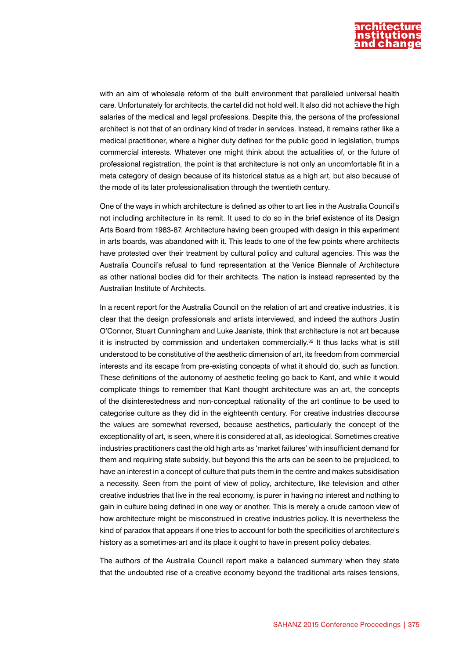

with an aim of wholesale reform of the built environment that paralleled universal health care. Unfortunately for architects, the cartel did not hold well. It also did not achieve the high salaries of the medical and legal professions. Despite this, the persona of the professional architect is not that of an ordinary kind of trader in services. Instead, it remains rather like a medical practitioner, where a higher duty defined for the public good in legislation, trumps commercial interests. Whatever one might think about the actualities of, or the future of professional registration, the point is that architecture is not only an uncomfortable fit in a meta category of design because of its historical status as a high art, but also because of the mode of its later professionalisation through the twentieth century.

One of the ways in which architecture is defined as other to art lies in the Australia Council's not including architecture in its remit. It used to do so in the brief existence of its Design Arts Board from 1983-87. Architecture having been grouped with design in this experiment in arts boards, was abandoned with it. This leads to one of the few points where architects have protested over their treatment by cultural policy and cultural agencies. This was the Australia Council's refusal to fund representation at the Venice Biennale of Architecture as other national bodies did for their architects. The nation is instead represented by the Australian Institute of Architects.

In a recent report for the Australia Council on the relation of art and creative industries, it is clear that the design professionals and artists interviewed, and indeed the authors Justin O'Connor, Stuart Cunningham and Luke Jaaniste, think that architecture is not art because it is instructed by commission and undertaken commercially.<sup>32</sup> It thus lacks what is still understood to be constitutive of the aesthetic dimension of art, its freedom from commercial interests and its escape from pre-existing concepts of what it should do, such as function. These definitions of the autonomy of aesthetic feeling go back to Kant, and while it would complicate things to remember that Kant thought architecture was an art, the concepts of the disinterestedness and non-conceptual rationality of the art continue to be used to categorise culture as they did in the eighteenth century. For creative industries discourse the values are somewhat reversed, because aesthetics, particularly the concept of the exceptionality of art, is seen, where it is considered at all, as ideological. Sometimes creative industries practitioners cast the old high arts as 'market failures' with insufficient demand for them and requiring state subsidy, but beyond this the arts can be seen to be prejudiced, to have an interest in a concept of culture that puts them in the centre and makes subsidisation a necessity. Seen from the point of view of policy, architecture, like television and other creative industries that live in the real economy, is purer in having no interest and nothing to gain in culture being defined in one way or another. This is merely a crude cartoon view of how architecture might be misconstrued in creative industries policy. It is nevertheless the kind of paradox that appears if one tries to account for both the specificities of architecture's history as a sometimes-art and its place it ought to have in present policy debates.

The authors of the Australia Council report make a balanced summary when they state that the undoubted rise of a creative economy beyond the traditional arts raises tensions,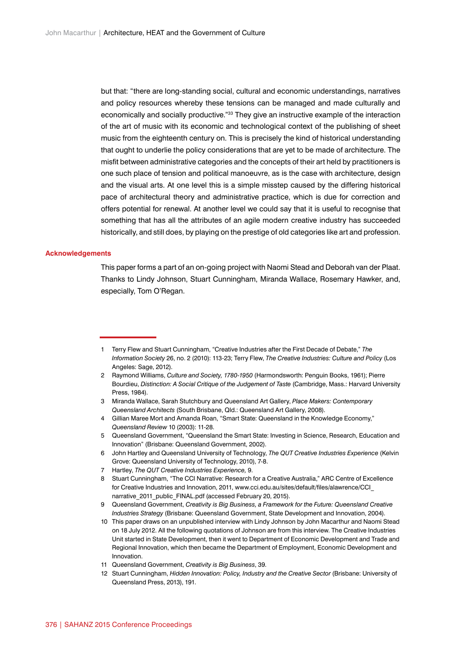but that: "there are long-standing social, cultural and economic understandings, narratives and policy resources whereby these tensions can be managed and made culturally and economically and socially productive."33 They give an instructive example of the interaction of the art of music with its economic and technological context of the publishing of sheet music from the eighteenth century on. This is precisely the kind of historical understanding that ought to underlie the policy considerations that are yet to be made of architecture. The misfit between administrative categories and the concepts of their art held by practitioners is one such place of tension and political manoeuvre, as is the case with architecture, design and the visual arts. At one level this is a simple misstep caused by the differing historical pace of architectural theory and administrative practice, which is due for correction and offers potential for renewal. At another level we could say that it is useful to recognise that something that has all the attributes of an agile modern creative industry has succeeded historically, and still does, by playing on the prestige of old categories like art and profession.

## **Acknowledgements**

This paper forms a part of an on-going project with Naomi Stead and Deborah van der Plaat. Thanks to Lindy Johnson, Stuart Cunningham, Miranda Wallace, Rosemary Hawker, and, especially, Tom O'Regan.

<sup>1</sup> Terry Flew and Stuart Cunningham, "Creative Industries after the First Decade of Debate," *The Information Society* 26, no. 2 (2010): 113-23; Terry Flew, *The Creative Industries: Culture and Policy* (Los Angeles: Sage, 2012).

<sup>2</sup> Raymond Williams, *Culture and Society, 1780-1950* (Harmondsworth: Penguin Books, 1961); Pierre Bourdieu, *Distinction: A Social Critique of the Judgement of Taste* (Cambridge, Mass.: Harvard University Press, 1984).

<sup>3</sup> Miranda Wallace, Sarah Stutchbury and Queensland Art Gallery, *Place Makers: Contemporary Queensland Architects* (South Brisbane, Qld.: Queensland Art Gallery, 2008).

<sup>4</sup> Gillian Maree Mort and Amanda Roan, "Smart State: Queensland in the Knowledge Economy," *Queensland Review* 10 (2003): 11-28.

<sup>5</sup> Queensland Government, "Queensland the Smart State: Investing in Science, Research, Education and Innovation" (Brisbane: Queensland Government, 2002).

<sup>6</sup> John Hartley and Queensland University of Technology, *The QUT Creative Industries Experience* (Kelvin Grove: Queensland University of Technology, 2010), 7-8.

<sup>7</sup> Hartley, *The QUT Creative Industries Experience,* 9.

<sup>8</sup> Stuart Cunningham, "The CCI Narrative: Research for a Creative Australia," ARC Centre of Excellence for Creative Industries and Innovation, 2011, [www.cci.edu.au/sites/default/files/alawrence/CCI\\_](http://www.cci.edu.au/sites/default/files/alawrence/CCI_narrative_2011_public_FINAL.pdf) [narrative\\_2011\\_public\\_FINAL.pdf](http://www.cci.edu.au/sites/default/files/alawrence/CCI_narrative_2011_public_FINAL.pdf) (accessed February 20, 2015).

<sup>9</sup> Queensland Government, *Creativity is Big Business, a Framework for the Future: Queensland Creative Industries Strategy* (Brisbane: Queensland Government, State Development and Innovation, 2004).

<sup>10</sup> This paper draws on an unpublished interview with Lindy Johnson by John Macarthur and Naomi Stead on 18 July 2012. All the following quotations of Johnson are from this interview. The Creative Industries Unit started in State Development, then it went to Department of Economic Development and Trade and Regional Innovation, which then became the Department of Employment, Economic Development and Innovation.

<sup>11</sup> Queensland Government, *Creativity is Big Business*, 39.

<sup>12</sup> Stuart Cunningham, *Hidden Innovation: Policy, Industry and the Creative Sector (Brisbane: University of* Queensland Press, 2013), 191.